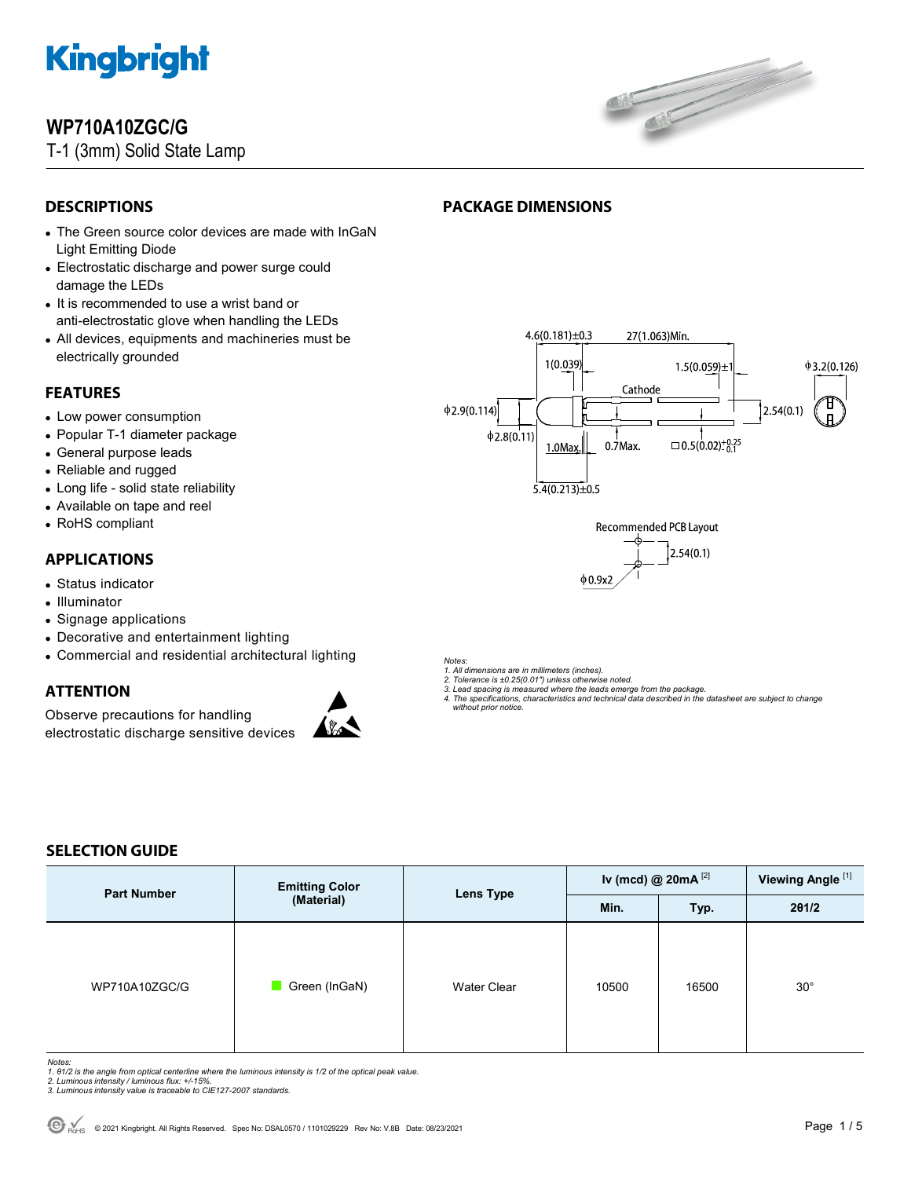

### **WP710A10ZGC/G**

T-1 (3mm) Solid State Lamp



### **DESCRIPTIONS**

- The Green source color devices are made with InGaN Light Emitting Diode
- Electrostatic discharge and power surge could damage the LEDs
- It is recommended to use a wrist band or anti-electrostatic glove when handling the LEDs
- All devices, equipments and machineries must be electrically grounded

#### **FEATURES**

- Low power consumption
- Popular T-1 diameter package
- General purpose leads
- Reliable and rugged
- Long life solid state reliability
- Available on tape and reel
- RoHS compliant

#### **APPLICATIONS**

- Status indicator
- Illuminator
- Signage applications
- Decorative and entertainment lighting
- Commercial and residential architectural lighting

#### **ATTENTION**

Observe precautions for handling electrostatic discharge sensitive devices



*Notes:* 

*1. All dimensions are in millimeters (inches). 2. Tolerance is ±0.25(0.01") unless otherwise noted.* 

**PACKAGE DIMENSIONS** 

- *3. Lead spacing is measured where the leads emerge from the package.*
- *4. The specifications, characteristics and technical data described in the datasheet are subject to change without prior notice.*

#### **SELECTION GUIDE**

| <b>Part Number</b> | <b>Emitting Color</b><br>(Material) | Lens Type          | Iv (mcd) @ $20mA$ <sup>[2]</sup> |       | Viewing Angle <sup>[1]</sup> |
|--------------------|-------------------------------------|--------------------|----------------------------------|-------|------------------------------|
|                    |                                     |                    | Min.                             | Typ.  | 201/2                        |
| WP710A10ZGC/G      | Green (InGaN)                       | <b>Water Clear</b> | 10500                            | 16500 | $30^\circ$                   |

- Notes:<br>1. 81/2 is the angle from optical centerline where the luminous intensity is 1/2 of the optical peak value.<br>2. Luminous intensity / luminous flux: +/-15%.<br>3. Luminous intensity value is traceable to CIE127-2007 stan
- 
- 

#### $4.6(0.181) \pm 0.3$ 27(1.063)Min. 1(0.039  $1.5(0.059) \pm$  $\phi$ 3.2(0.126) Cathode  $\phi$ 2.9(0.114)  $2.54(0.1)$  $\phi$ 2.8(0.11)  $0.7$ Max.  $\Box$  0.5(0.02)<sup>+0.25</sup> 1.0Max  $5.4(0.213) \pm 0.5$

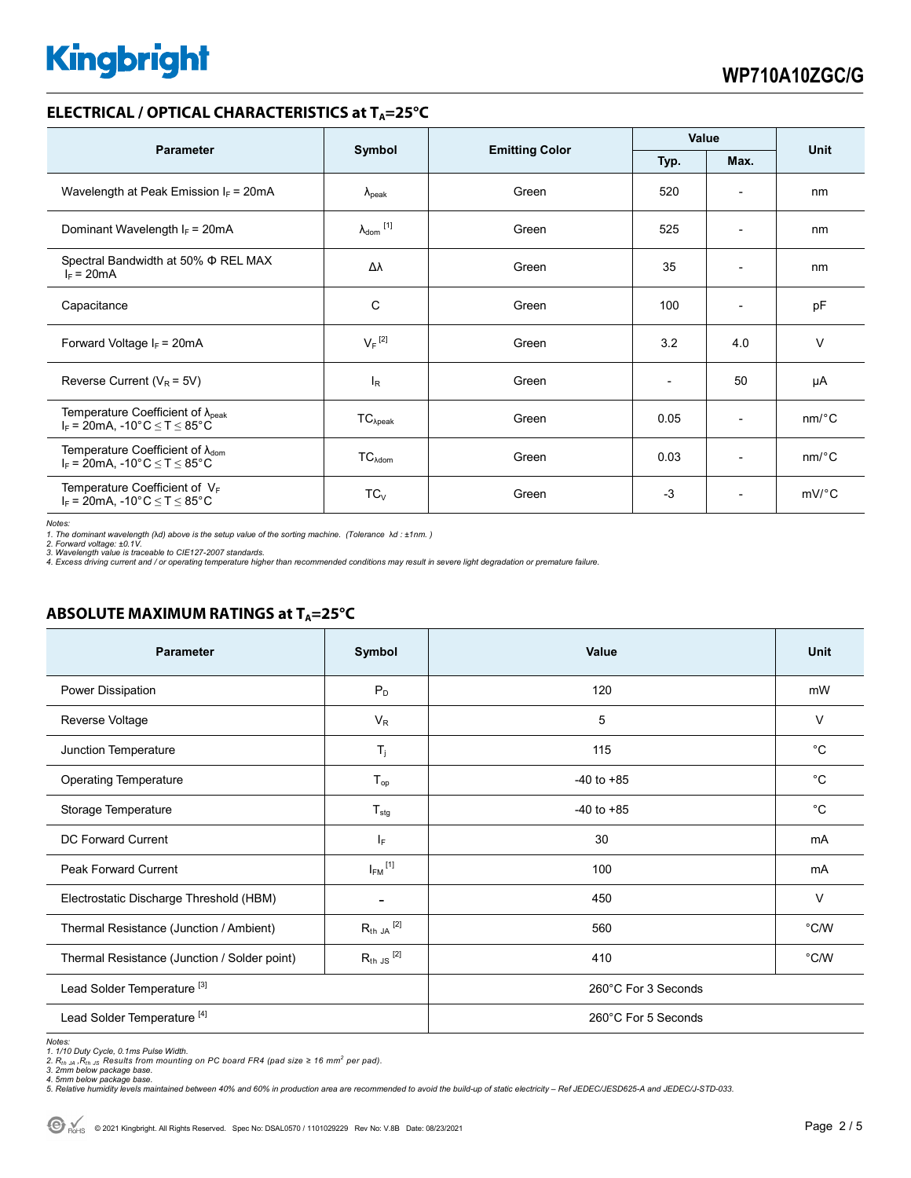#### **ELECTRICAL / OPTICAL CHARACTERISTICS at T<sub>A</sub>=25°C**

| <b>Parameter</b>                                                                                                                | Symbol                       |                       | Value |                          | <b>Unit</b>           |
|---------------------------------------------------------------------------------------------------------------------------------|------------------------------|-----------------------|-------|--------------------------|-----------------------|
|                                                                                                                                 |                              | <b>Emitting Color</b> | Typ.  | Max.                     |                       |
| Wavelength at Peak Emission $I_F$ = 20mA                                                                                        | $\lambda_{\rm peak}$         | Green                 | 520   | $\overline{\phantom{a}}$ | nm                    |
| Dominant Wavelength $I_F = 20mA$                                                                                                | $\lambda_{\mathsf{dom}}$ [1] | Green                 | 525   | $\overline{\phantom{0}}$ | nm                    |
| Spectral Bandwidth at 50% $\Phi$ REL MAX<br>$I_F = 20mA$                                                                        | Δλ                           | Green                 | 35    | $\overline{\phantom{a}}$ | nm                    |
| Capacitance                                                                                                                     | C                            | Green                 | 100   | $\overline{\phantom{a}}$ | pF                    |
| Forward Voltage $I_F = 20mA$                                                                                                    | $V_F$ <sup>[2]</sup>         | Green                 | 3.2   | 4.0                      | $\vee$                |
| Reverse Current ( $V_R$ = 5V)                                                                                                   | <b>l</b> <sub>R</sub>        | Green                 |       | 50                       | μA                    |
| Temperature Coefficient of $\lambda_{\text{peak}}$<br>$I_F = 20mA$ , -10°C $\le T \le 85$ °C                                    | $TC_{\lambda peak}$          | Green                 | 0.05  | $\overline{\phantom{a}}$ | $nm$ /°C              |
| Temperature Coefficient of $\lambda_{\text{dom}}$<br>$I_F = 20 \text{mA}, -10^{\circ} \text{C} \leq T \leq 85^{\circ} \text{C}$ | TC <sub>Adam</sub>           | Green                 | 0.03  | $\overline{\phantom{a}}$ | $nm$ <sup>o</sup> $C$ |
| Temperature Coefficient of VF<br>$I_F = 20 \text{mA}, -10^{\circ} \text{C} \leq T \leq 85^{\circ} \text{C}$                     | $TC_V$                       | Green                 | $-3$  | $\overline{\phantom{a}}$ | $mV$ °C               |

*Notes:* 

1. The dominant wavelength (λd) above is the setup value of the sorting machine. (Tolerance λd : ±1nm. )<br>2. Forward voltage: ±0.1V.<br>3. Wavelength value is traceable to CIE127-2007 standards.<br>4. Excess driving current and

#### **ABSOLUTE MAXIMUM RATINGS at T<sub>A</sub>=25°C**

| <b>Parameter</b>                             | Symbol                   | Value               | Unit           |  |
|----------------------------------------------|--------------------------|---------------------|----------------|--|
| Power Dissipation                            | $P_D$                    | 120                 | mW             |  |
| Reverse Voltage                              | $V_R$                    | 5                   | $\vee$         |  |
| Junction Temperature                         | $T_j$                    | 115                 | °C             |  |
| <b>Operating Temperature</b>                 | $T_{op}$                 | $-40$ to $+85$      | $^{\circ}C$    |  |
| Storage Temperature                          | $T_{\text{stg}}$         | $-40$ to $+85$      | $^{\circ}C$    |  |
| <b>DC Forward Current</b>                    | IF.                      | 30                  | mA             |  |
| <b>Peak Forward Current</b>                  | $I_{FM}$ <sup>[1]</sup>  | 100                 | mA             |  |
| Electrostatic Discharge Threshold (HBM)      | $\overline{\phantom{a}}$ | 450                 | $\vee$         |  |
| Thermal Resistance (Junction / Ambient)      | $R_{th}$ JA $^{[2]}$     | 560                 | $^{\circ}$ C/W |  |
| Thermal Resistance (Junction / Solder point) | $R_{th}$ JS $^{[2]}$     | 410                 | $^{\circ}$ C/W |  |
| Lead Solder Temperature <sup>[3]</sup>       |                          | 260°C For 3 Seconds |                |  |
| Lead Solder Temperature <sup>[4]</sup>       |                          | 260°C For 5 Seconds |                |  |

Notes:<br>1. 1/10 Duty Cycle, 0.1ms Pulse Width.<br>2. Rnn Jelow package base.<br>3. 2mm below package base.<br>4. 5mm below package base.<br>5. Relative humidity levels maintained between 40% and 60% in production area are recommended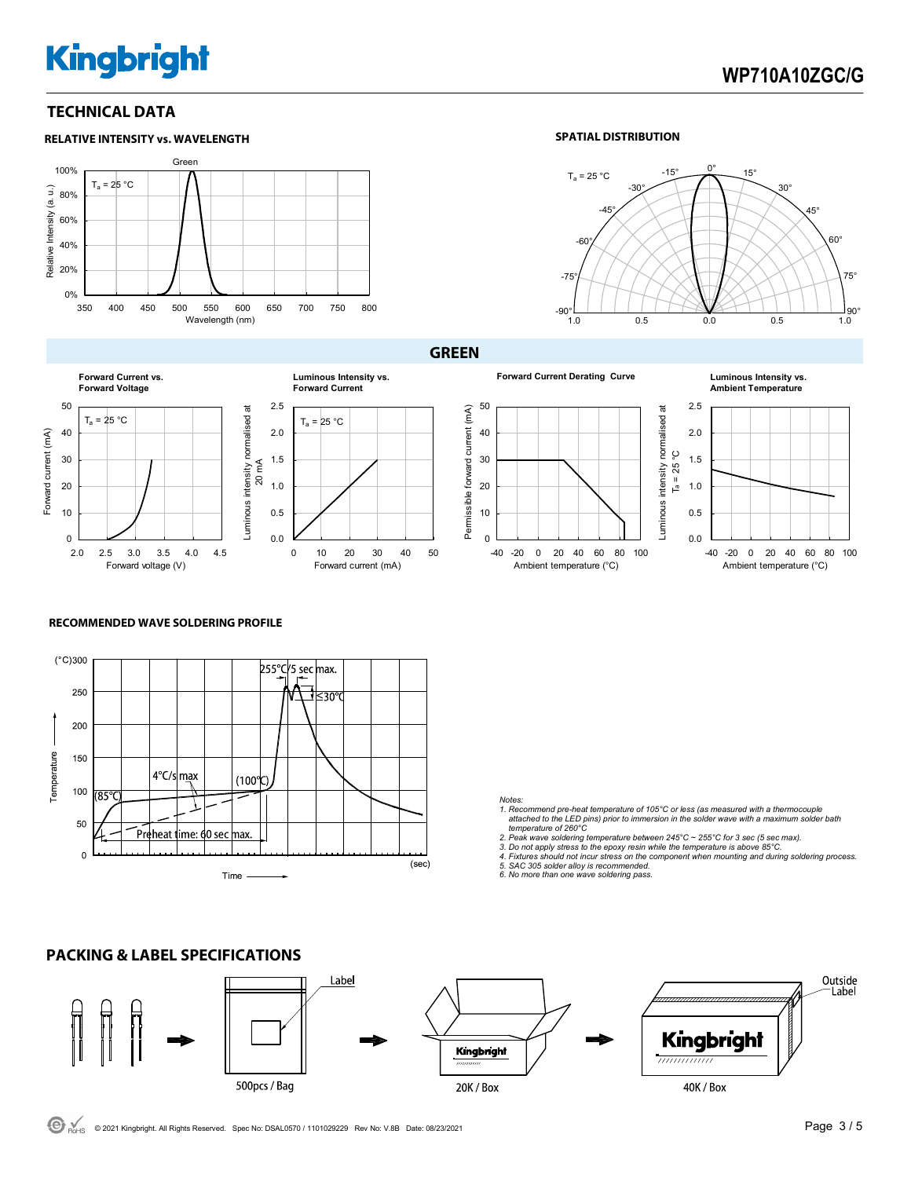### **WP710A10ZGC/G**

#### **TECHNICAL DATA**



#### **SPATIAL DISTRIBUTION**



**Forward Current vs. Forward Voltage** 50 Luminous intensity normalised at Luminous intensity normalised at  $T_a = 25 °C$ 40 Forward current (mA) Forward current (mA) 30 20 10  $\overline{0}$ 2.0 2.5 3.0 3.5 4.0 4.5

Forward voltage (V)

# $T_a = 25 °C$ **Luminous Intensity vs. Forward Current**

0 10 20 30 40 50

Forward current (mA)

**GREEN**

**Forward Current Derating Curve Luminous Intensity vs.** 





#### **RECOMMENDED WAVE SOLDERING PROFILE**



0.0 0.5 1.0 1.5 2.0  $2.5$ 

20 mA

*Notes: 1. Recommend pre-heat temperature of 105°C or less (as measured with a thermocouple attached to the LED pins) prior to immersion in the solder wave with a maximum solder bath* 

- *temperature of 260°C 2. Peak wave soldering temperature between 245°C ~ 255°C for 3 sec (5 sec max).*
- 
- *3. Do not apply stress to the epoxy resin while the temperature is above 85°C. 4. Fixtures should not incur stress on the component when mounting and during soldering process.*

*5. SAC 305 solder alloy is recommended. 6. No more than one wave soldering pass.*

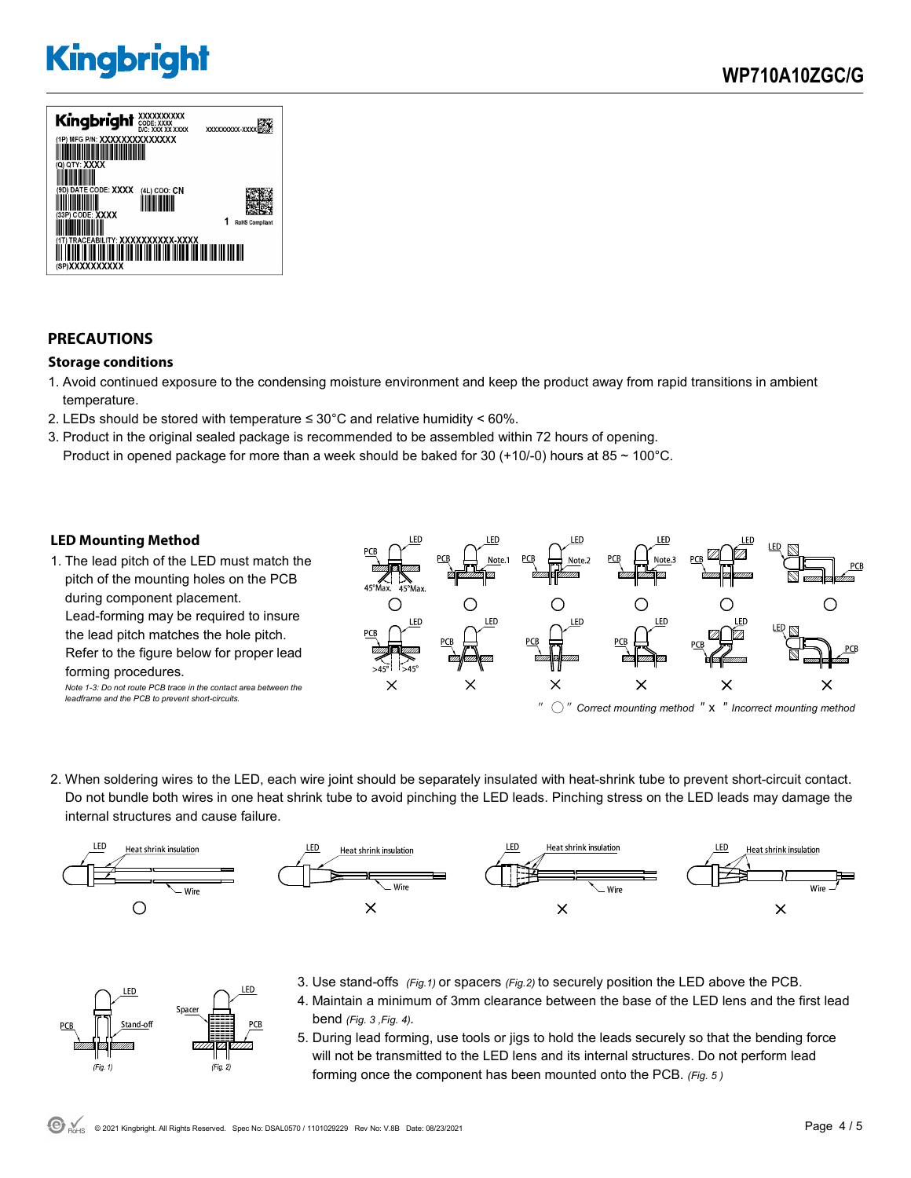

### **PRECAUTIONS**

#### **Storage conditions**

- 1. Avoid continued exposure to the condensing moisture environment and keep the product away from rapid transitions in ambient temperature.
- 2. LEDs should be stored with temperature  $\leq 30^{\circ}$ C and relative humidity < 60%.
- 3. Product in the original sealed package is recommended to be assembled within 72 hours of opening. Product in opened package for more than a week should be baked for 30 (+10/-0) hours at 85  $\sim$  100°C.

#### **LED Mounting Method**

FD.

 $(Fig. 1)$ 

Space

1. The lead pitch of the LED must match the pitch of the mounting holes on the PCB during component placement. Lead-forming may be required to insure the lead pitch matches the hole pitch. Refer to the figure below for proper lead forming procedures. *Note 1-3: Do not route PCB trace in the contact area between the* 

*leadframe and the PCB to prevent short-circuits.* 



2. When soldering wires to the LED, each wire joint should be separately insulated with heat-shrink tube to prevent short-circuit contact. Do not bundle both wires in one heat shrink tube to avoid pinching the LED leads. Pinching stress on the LED leads may damage the internal structures and cause failure.



- 3. Use stand-offs *(Fig.1)* or spacers *(Fig.2)* to securely position the LED above the PCB.
	- 4. Maintain a minimum of 3mm clearance between the base of the LED lens and the first lead bend *(Fig. 3 ,Fig. 4).*
	- 5. During lead forming, use tools or jigs to hold the leads securely so that the bending force will not be transmitted to the LED lens and its internal structures. Do not perform lead forming once the component has been mounted onto the PCB. *(Fig. 5 )*

.ED

 $(Fig. 2)$